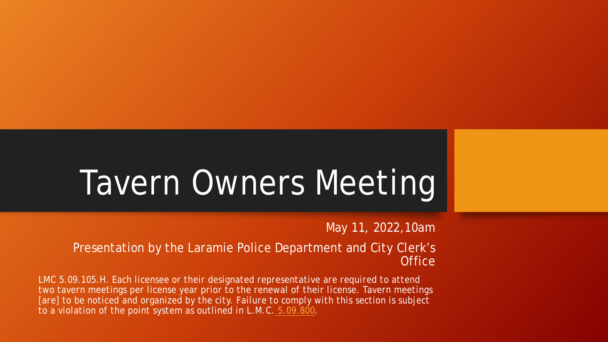# Tavern Owners Meeting

May 11, 2022,10am

Presentation by the Laramie Police Department and City Clerk's **Office** 

*LMC 5.09.105.H. Each licensee or their designated representative are required to attend two tavern meetings per license year prior to the renewal of their license. Tavern meetings [are] to be noticed and organized by the city. Failure to comply with this section is subject to a violation of the point system as outlined in L.M.C. [5.09.800](https://library.municode.com/wy/laramie/codes/code_of_ordinances?nodeId=TIT5BUTALIRE_CH5.09ALBE_5.09.800POSYALBELIVISU).*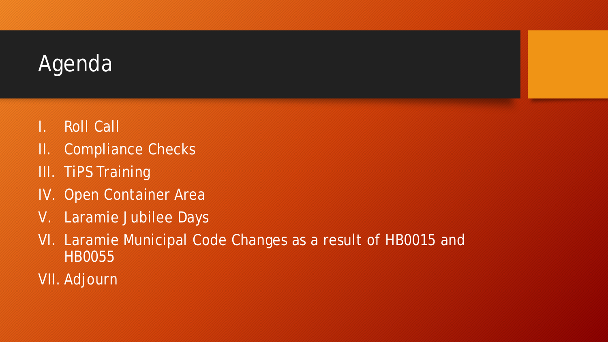

- I. Roll Call
- II. Compliance Checks
- III. TiPS Training
- IV. Open Container Area
- V. Laramie Jubilee Days
- VI. Laramie Municipal Code Changes as a result of HB0015 and HB0055
- VII. Adjourn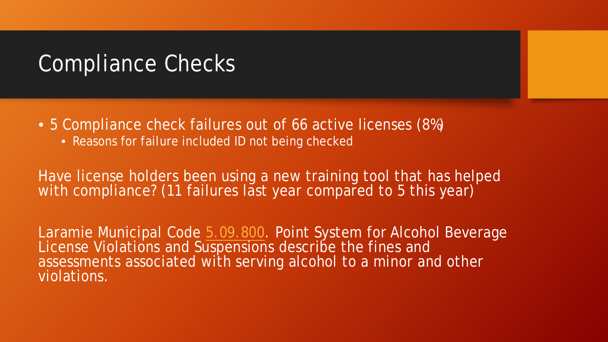### Compliance Checks

- 5 Compliance check failures out of 66 active licenses (8%)
	- Reasons for failure included ID not being checked

Have license holders been using a new training tool that has helped with compliance? (11 failures last year compared to 5 this year)

Laramie Municipal Code [5.09.800](https://library.municode.com/wy/laramie/codes/code_of_ordinances?nodeId=TIT5BUTALIRE_CH5.09ALBE_5.09.800POSYALBELIVISU). Point System for Alcohol Beverage License Violations and Suspensions describe the fines and assessments associated with serving alcohol to a minor and other violations.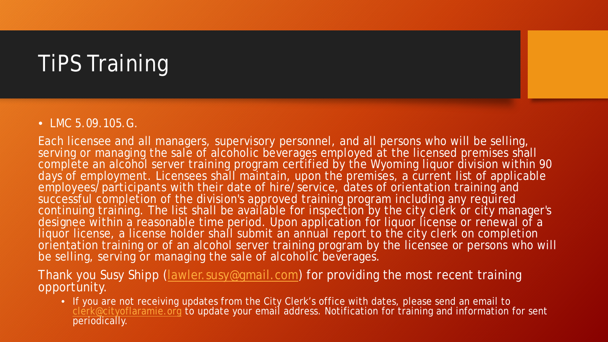# TiPS Training

#### • LMC 5.09.105.G.

Each licensee and all managers, supervisory personnel, and all persons who will be selling, serving or managing the sale of alcoholic beverages employed at the licensed premises shall complete an alcohol server training program certified by the Wyoming liquor division within 90 days of employment. Licensees shall maintain, upon the premises, a current list of applicable employees/participants with their date of hire/service, dates of orientation training and successful completion of the division's approved training program including any required continuing training. The list shall be available for inspection by the city clerk or city manager's designee within a reasonable time period. Upon application for liquor license or renewal of a liquor license, a license holder shall submit an annual report to the city clerk on completion orientation training or of an alcohol server training program by the licensee or persons who will be selling, serving or managing the sale of alcoholic beverages.

#### Thank you Susy Shipp ([lawler.susy@gmail.com](mailto:lawler.susy@gmail.com)) for providing the most recent training opportunity.

• If you are not receiving updates from the City Clerk's office with dates, please send an email to [clerk@cityoflaramie.org](mailto:clerk@cityoflaramie.org) to update your email address. Notification for training and information for sent periodically.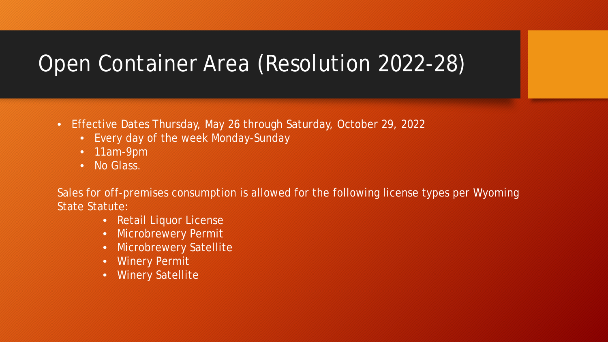# Open Container Area (Resolution 2022-28)

- Effective Dates Thursday, May 26 through Saturday, October 29, 2022
	- Every day of the week Monday-Sunday
	- 11am-9pm
	- No Glass.

Sales for off-premises consumption is allowed for the following license types per Wyoming State Statute:

- Retail Liquor License
- Microbrewery Permit
- **Microbrewery Satellite**
- Winery Permit
- Winery Satellite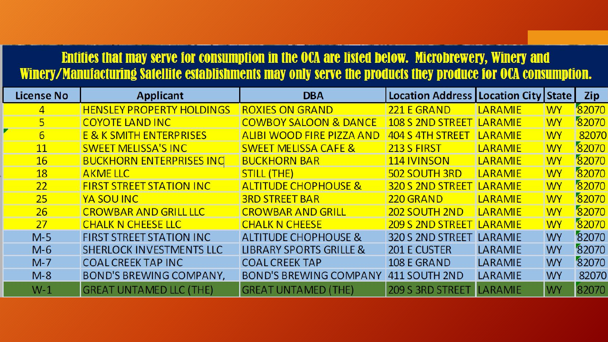#### Entities that may serve for consumption in the OCA are listed below. Microbrewery, Winery and Winery/Manufacturing Satellite establishments may only serve the products they produce for OCA consumption.

| <b>License No</b> | <b>Applicant</b>                   | <b>DBA</b>                         | Location Address   Location City   State |                |           | Zip   |
|-------------------|------------------------------------|------------------------------------|------------------------------------------|----------------|-----------|-------|
| 4                 | <b>HENSLEY PROPERTY HOLDINGS</b>   | <b>ROXIES ON GRAND</b>             | 221 E GRAND                              | <b>LARAMIE</b> | <b>WY</b> | 82070 |
| 5                 | <b>COYOTE LAND INC</b>             | <b>COWBOY SALOON &amp; DANCE</b>   | <u>108 S 2ND STREET</u>                  | <b>LARAMIE</b> | <b>WY</b> | 82070 |
| 6                 | <b>E &amp; K SMITH ENTERPRISES</b> | <b>ALIBI WOOD FIRE PIZZA AND</b>   | 404 S 4TH STREET                         | <b>LARAMIE</b> | <b>WY</b> | 82070 |
| <b>11</b>         | <b>SWEET MELISSA'S INC</b>         | <b>SWEET MELISSA CAFE &amp;</b>    | 213 S FIRST                              | <b>LARAMIE</b> | <b>WY</b> | 82070 |
| 16                | <b>BUCKHORN ENTERPRISES INCL</b>   | <b>BUCKHORN BAR</b>                | <b>114 IVINSON</b>                       | <b>LARAMIE</b> | <b>WY</b> | 82070 |
| 18                | <b>AKMELLC</b>                     | <b>STILL (THE)</b>                 | 502 SOUTH 3RD                            | <b>LARAMIE</b> | <b>WY</b> | 82070 |
| 22                | <b>FIRST STREET STATION INC</b>    | <b>ALTITUDE CHOPHOUSE &amp;</b>    | 320 S 2ND STREET                         | <b>LARAMIE</b> | <b>WY</b> | 82070 |
| 25                | YA SOU INC                         | <b>3RD STREET BAR</b>              | 220 GRAND                                | <b>LARAMIE</b> | <b>WY</b> | 82070 |
| 26                | <b>CROWBAR AND GRILL LLC</b>       | <b>CROWBAR AND GRILL</b>           | 202 SOUTH 2ND                            | <b>LARAMIE</b> | <b>WY</b> | 82070 |
| 27                | <b>CHALK N CHEESE LLC</b>          | <b>CHALK N CHEESE</b>              | <b>209 S 2ND STREET</b>                  | <b>LARAMIE</b> | <b>WY</b> | 82070 |
| $M-5$             | <b>FIRST STREET STATION INC</b>    | <b>ALTITUDE CHOPHOUSE &amp;</b>    | 320 S 2ND STREET                         | LARAMIE        | <b>WY</b> | 82070 |
| $M-6$             | SHERLOCK INVESTMENTS LLC           | <b>LIBRARY SPORTS GRILLE &amp;</b> | <b>201 E CUSTER</b>                      | LARAMIE        | <b>WY</b> | 82070 |
| $M-7$             | <b>COAL CREEK TAP INC</b>          | <b>COAL CREEK TAP</b>              | 108 E GRAND                              | <b>LARAMIE</b> | <b>WY</b> | 82070 |
| $M-8$             | <b>BOND'S BREWING COMPANY,</b>     | <b>BOND'S BREWING COMPANY</b>      | 411 SOUTH 2ND                            | LARAMIE        | <b>WY</b> | 82070 |
| $W-1$             | <b>GREAT UNTAMED LLC (THE)</b>     | <b>GREAT UNTAMED (THE)</b>         | <b>209 S 3RD STREET</b>                  | <b>LARAMIE</b> | <b>WY</b> | 82070 |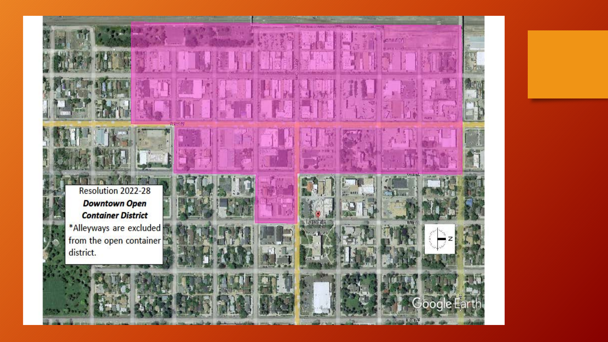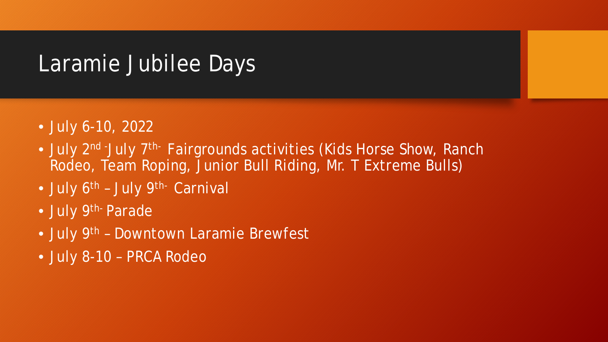### Laramie Jubilee Days

- July 6-10, 2022
- July 2<sup>nd -</sup>July 7<sup>th-</sup> Fairgrounds activities (Kids Horse Show, Ranch Rodeo, Team Roping, Junior Bull Riding, Mr. T Extreme Bulls)
- July 6<sup>th</sup> July 9<sup>th-</sup> Carnival
- July 9<sup>th-</sup> Parade
- July 9<sup>th</sup> Downtown Laramie Brewfest
- July 8-10 PRCA Rodeo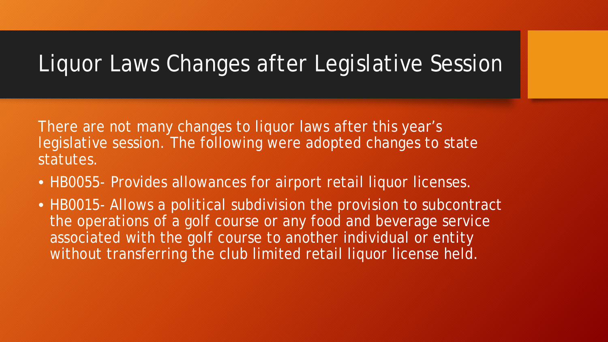# Liquor Laws Changes after Legislative Session

There are not many changes to liquor laws after this year's legislative session. The following were adopted changes to state statutes.

- HB0055- Provides allowances for airport retail liquor licenses.
- HB0015- Allows a political subdivision the provision to subcontract the operations of a golf course or any food and beverage service associated with the golf course to another individual or entity without transferring the club limited retail liquor license held.